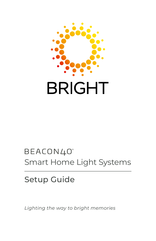

# BEACON40° Smart Home Light Systems

# Setup Guide

*Lighting the way to bright memories*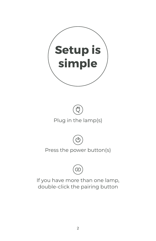





## Press the power button(s)



If you have more than one lamp, double-click the pairing button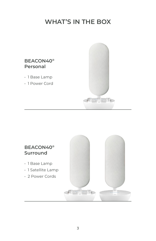# **WHAT'S IN THE BOX**



- 1 Base Lamp
- 1 Power Cord



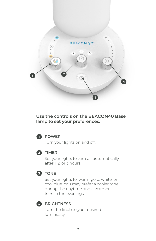

#### **Use the controls on the BEACON40 Base lamp to set your preferences.**



#### **POWER 1**

Turn your lights on and off.



#### **TIMER 2**

Set your lights to turn off automatically after 1, 2, or 3 hours.



#### **TONE 3**

Set your lights to: warm gold, white, or cool blue. You may prefer a cooler tone during the daytime and a warmer tone in the evenings.



#### **BRIGHTNESS 4**

Turn the knob to your desired luminosity.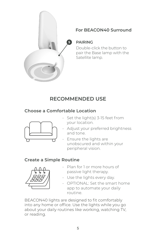

### **For BEACON40 Surround**

**PAIRING**

Double-click the button to pair the Base lamp with the Satellite lamp.

# **RECOMMENDED USE**

### **Choose a Comfortable Location**



- Set the light(s) 3-15 feet from your location.
- Adjust your preferred brightness and tone.
- Ensure the lights are unobscured and within your peripheral vision.

## **Create a Simple Routine**



- Plan for 1 or more hours of passive light therapy.
- Use the lights every day.
- OPTIONAL: Set the smart home app to automate your daily routine.

BEACON40 lights are designed to fit comfortably into any home or office. Use the lights while you go about your daily routines like working, watching TV, or reading.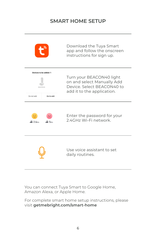## **SMART HOME SETUP**

|                                 | Download the Tuya Smart<br>app and follow the onscreen<br>instructions for sign up. |
|---------------------------------|-------------------------------------------------------------------------------------|
| Devices to be added: 1          | Turn your BEACON40 light                                                            |
| <b>REACON40</b>                 | on and select Manually Add                                                          |
| Do not add                      | Device, Select BEACON40 to                                                          |
| Go to add                       | add it to the application.                                                          |
| $\circledcirc$ 5 <sub>cHz</sub> | Enter the password for your                                                         |
| 24cm                            | 24GHz Wi-Fi network                                                                 |
|                                 | Use voice assistant to set<br>daily routines.                                       |

You can connect Tuya Smart to Google Home, Amazon Alexa, or Apple Home.

For complete smart home setup instructions, please visit **getmebright.com/smart-home**